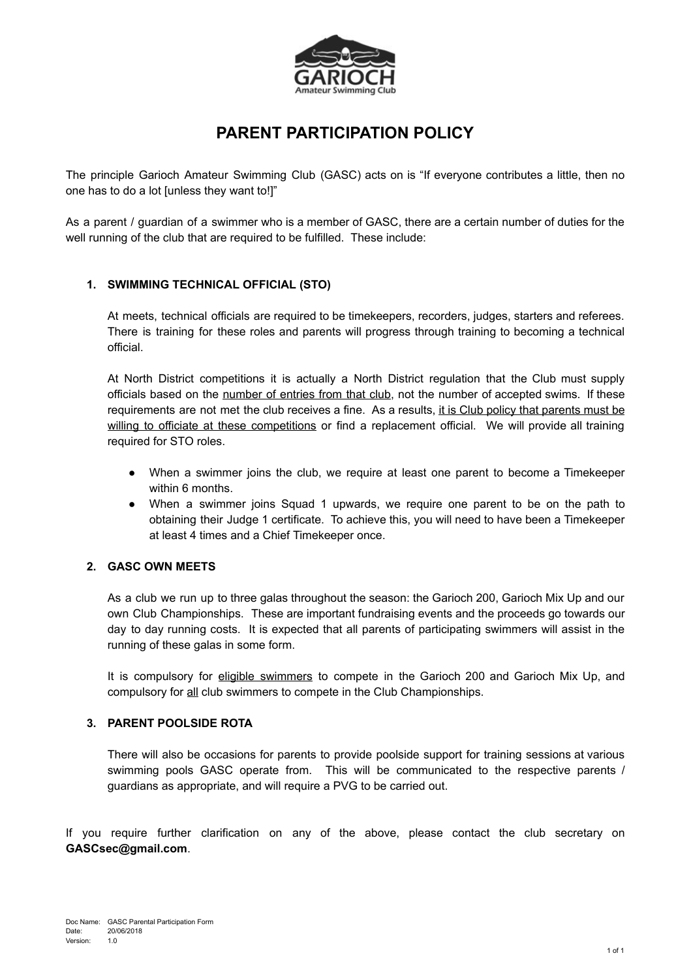

# **PARENT PARTICIPATION POLICY**

The principle Garioch Amateur Swimming Club (GASC) acts on is "If everyone contributes a little, then no one has to do a lot [unless they want to!]"

As a parent / guardian of a swimmer who is a member of GASC, there are a certain number of duties for the well running of the club that are required to be fulfilled. These include:

### **1. SWIMMING TECHNICAL OFFICIAL (STO)**

At meets, technical officials are required to be timekeepers, recorders, judges, starters and referees. There is training for these roles and parents will progress through training to becoming a technical official.

At North District competitions it is actually a North District regulation that the Club must supply officials based on the number of entries from that club, not the number of accepted swims. If these requirements are not met the club receives a fine. As a results, it is Club policy that parents must be willing to officiate at these competitions or find a replacement official. We will provide all training required for STO roles.

- When a swimmer joins the club, we require at least one parent to become a Timekeeper within 6 months.
- When a swimmer joins Squad 1 upwards, we require one parent to be on the path to obtaining their Judge 1 certificate. To achieve this, you will need to have been a Timekeeper at least 4 times and a Chief Timekeeper once.

#### **2. GASC OWN MEETS**

As a club we run up to three galas throughout the season: the Garioch 200, Garioch Mix Up and our own Club Championships. These are important fundraising events and the proceeds go towards our day to day running costs. It is expected that all parents of participating swimmers will assist in the running of these galas in some form.

It is compulsory for eligible swimmers to compete in the Garioch 200 and Garioch Mix Up, and compulsory for all club swimmers to compete in the Club Championships.

#### **3. PARENT POOLSIDE ROTA**

There will also be occasions for parents to provide poolside support for training sessions at various swimming pools GASC operate from. This will be communicated to the respective parents / guardians as appropriate, and will require a PVG to be carried out.

If you require further clarification on any of the above, please contact the club secretary on **[GASCsec@gmail.com](mailto:GASCsec@gmail.com)**.